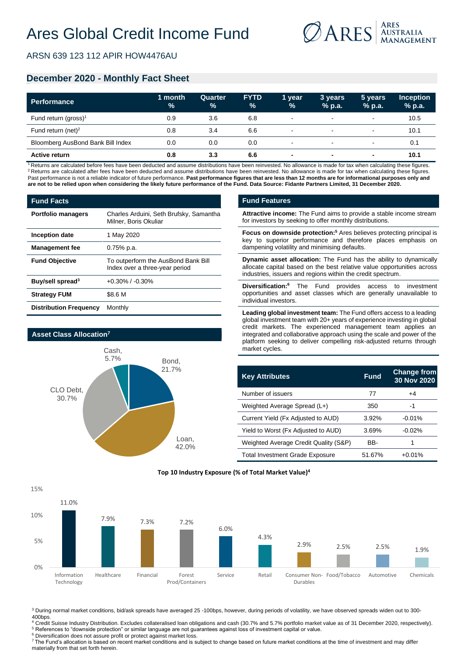

ARSN 639 123 112 APIR HOW4476AU

## **December 2020 - Monthly Fact Sheet**

| <b>Performance</b>                | 1 month<br>$\%$ | Quarter<br>% | <b>FYTD</b><br>$\%$ | 1 vear<br>$\frac{9}{6}$ | 3 years<br>$%$ p.a. | 5 years<br>$%$ p.a.      | <b>Inception</b><br>$%$ p.a. |
|-----------------------------------|-----------------|--------------|---------------------|-------------------------|---------------------|--------------------------|------------------------------|
| Fund return (gross) <sup>1</sup>  | 0.9             | 3.6          | 6.8                 | $\blacksquare$          | $\sim$              | $\blacksquare$           | 10.5                         |
| Fund return (net) <sup>2</sup>    | 0.8             | 3.4          | 6.6                 | $\blacksquare$          | $\sim$              | $\blacksquare$           | 10.1                         |
| Bloomberg AusBond Bank Bill Index | 0.0             | 0.0          | 0.0                 | $\blacksquare$          | $\sim$              | $\overline{\phantom{a}}$ | 0.1                          |
| <b>Active return</b>              | 0.8             | 3.3          | 6.6                 | ۰                       | $\blacksquare$      | $\overline{\phantom{0}}$ | 10.1                         |

<sup>1</sup> Returns are calculated before fees have been deducted and assume distributions have been reinvested. No allowance is made for tax when calculating these figures. <sup>2</sup> Returns are calculated after fees have been deducted and assume distributions have been reinvested. No allowance is made for tax when calculating these figures. Past performance is not a reliable indicator of future performance. Past performance figures that are less than 12 months are for informational purposes only and **are not to be relied upon when considering the likely future performance of the Fund. Data Source: Fidante Partners Limited, 31 December 2020.**

| <b>Fund Facts</b>             |                                                                       |
|-------------------------------|-----------------------------------------------------------------------|
| <b>Portfolio managers</b>     | Charles Arduini, Seth Brufsky, Samantha<br>Milner, Boris Okuliar      |
| Inception date                | 1 May 2020                                                            |
| <b>Management fee</b>         | 0.75% p.a.                                                            |
| <b>Fund Objective</b>         | To outperform the AusBond Bank Bill<br>Index over a three-year period |
| Buy/sell spread <sup>3</sup>  | $+0.30\%$ / $-0.30\%$                                                 |
| <b>Strategy FUM</b>           | \$8.6 M                                                               |
| <b>Distribution Frequency</b> | Monthly                                                               |



15%

### **Fund Features**

**Attractive income:** The Fund aims to provide a stable income stream for investors by seeking to offer monthly distributions.

**Focus on downside protection:<sup>5</sup>** Ares believes protecting principal is key to superior performance and therefore places emphasis on dampening volatility and minimising defaults.

**Dynamic asset allocation:** The Fund has the ability to dynamically allocate capital based on the best relative value opportunities across industries, issuers and regions within the credit spectrum.

**Diversification:<sup>6</sup>** The Fund provides access to investment opportunities and asset classes which are generally unavailable to individual investors.

**Leading global investment team:** The Fund offers access to a leading global investment team with 20+ years of experience investing in global credit markets. The experienced management team applies an integrated and collaborative approach using the scale and power of the platform seeking to deliver compelling risk-adjusted returns through market cycles.

| <b>Key Attributes</b>                  | <b>Fund</b> | <b>Change from</b><br>30 Nov 2020 |
|----------------------------------------|-------------|-----------------------------------|
| Number of issuers                      | 77          | $+4$                              |
| Weighted Average Spread (L+)           | 350         | -1                                |
| Current Yield (Fx Adjusted to AUD)     | 3.92%       | $-0.01%$                          |
| Yield to Worst (Fx Adjusted to AUD)    | 3.69%       | $-0.02%$                          |
| Weighted Average Credit Quality (S&P)  | BB-         |                                   |
| <b>Total Investment Grade Exposure</b> | 51.67%      | $+0.01%$                          |

### **Top 10 Industry Exposure (% of Total Market Value)4**



<sup>3</sup> During normal market conditions, bid/ask spreads have averaged 25 -100bps, however, during periods of volatility, we have observed spreads widen out to 300-400bps.

<sup>4</sup> Credit Suisse Industry Distribution. Excludes collateralised loan obligations and cash (30.7% and 5.7% portfolio market value as of 31 December 2020, respectively). <sup>5</sup> References to "downside protection" or similar language are not guarantees against loss of investment capital or value.

<sup>6</sup> Diversification does not assure profit or protect against market loss

<sup>7</sup>The Fund's allocation is based on recent market conditions and is subject to change based on future market conditions at the time of investment and may differ materially from that set forth herein.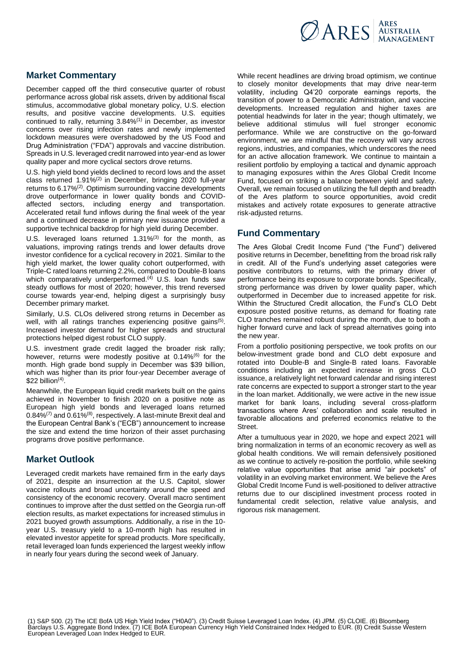

# **Market Commentary**

December capped off the third consecutive quarter of robust performance across global risk assets, driven by additional fiscal stimulus, accommodative global monetary policy, U.S. election results, and positive vaccine developments. U.S. equities continued to rally, returning 3.84%<sup>(1)</sup> in December, as investor concerns over rising infection rates and newly implemented lockdown measures were overshadowed by the US Food and Drug Administration ("FDA") approvals and vaccine distribution. Spreads in U.S. leveraged credit narrowed into year-end as lower quality paper and more cyclical sectors drove returns.

U.S. high yield bond yields declined to record lows and the asset class returned 1.91%(2) in December, bringing 2020 full-year returns to 6.17%(2). Optimism surrounding vaccine developments drove outperformance in lower quality bonds and COVIDaffected sectors, including energy and transportation. Accelerated retail fund inflows during the final week of the year and a continued decrease in primary new issuance provided a supportive technical backdrop for high yield during December.

U.S. leveraged loans returned 1.31%<sup>(3)</sup> for the month. as valuations, improving ratings trends and lower defaults drove investor confidence for a cyclical recovery in 2021. Similar to the high yield market, the lower quality cohort outperformed, with Triple-C rated loans returning 2.2%, compared to Double-B loans which comparatively underperformed.<sup>(4)</sup> U.S. loan funds saw steady outflows for most of 2020; however, this trend reversed course towards year-end, helping digest a surprisingly busy December primary market.

Similarly, U.S. CLOs delivered strong returns in December as well, with all ratings tranches experiencing positive gains<sup>(5)</sup>. Increased investor demand for higher spreads and structural protections helped digest robust CLO supply.

U.S. investment grade credit lagged the broader risk rally; however, returns were modestly positive at 0.14%<sup>(6)</sup> for the month. High grade bond supply in December was \$39 billion, which was higher than its prior four-year December average of  $$22$  billion<sup>(4)</sup>.

Meanwhile, the European liquid credit markets built on the gains achieved in November to finish 2020 on a positive note as European high yield bonds and leveraged loans returned  $0.84\%$ <sup>(7)</sup> and  $0.61\%$ <sup>(8)</sup>, respectively. A last-minute Brexit deal and the European Central Bank's ("ECB") announcement to increase the size and extend the time horizon of their asset purchasing programs drove positive performance.

## **Market Outlook**

Leveraged credit markets have remained firm in the early days of 2021, despite an insurrection at the U.S. Capitol, slower vaccine rollouts and broad uncertainty around the speed and consistency of the economic recovery. Overall macro sentiment continues to improve after the dust settled on the Georgia run-off election results, as market expectations for increased stimulus in 2021 buoyed growth assumptions. Additionally, a rise in the 10 year U.S. treasury yield to a 10-month high has resulted in elevated investor appetite for spread products. More specifically, retail leveraged loan funds experienced the largest weekly inflow in nearly four years during the second week of January.

While recent headlines are driving broad optimism, we continue to closely monitor developments that may drive near-term volatility, including Q4'20 corporate earnings reports, the transition of power to a Democratic Administration, and vaccine developments. Increased regulation and higher taxes are potential headwinds for later in the year; though ultimately, we believe additional stimulus will fuel stronger economic performance. While we are constructive on the go-forward environment, we are mindful that the recovery will vary across regions, industries, and companies, which underscores the need for an active allocation framework. We continue to maintain a resilient portfolio by employing a tactical and dynamic approach to managing exposures within the Ares Global Credit Income Fund, focused on striking a balance between yield and safety. Overall, we remain focused on utilizing the full depth and breadth of the Ares platform to source opportunities, avoid credit mistakes and actively rotate exposures to generate attractive risk-adjusted returns.

## **Fund Commentary**

The Ares Global Credit Income Fund ("the Fund") delivered positive returns in December, benefitting from the broad risk rally in credit. All of the Fund's underlying asset categories were positive contributors to returns, with the primary driver of performance being its exposure to corporate bonds. Specifically, strong performance was driven by lower quality paper, which outperformed in December due to increased appetite for risk. Within the Structured Credit allocation, the Fund's CLO Debt exposure posted positive returns, as demand for floating rate CLO tranches remained robust during the month, due to both a higher forward curve and lack of spread alternatives going into the new year.

From a portfolio positioning perspective, we took profits on our below-investment grade bond and CLO debt exposure and rotated into Double-B and Single-B rated loans. Favorable conditions including an expected increase in gross CLO issuance, a relatively light net forward calendar and rising interest rate concerns are expected to support a stronger start to the year in the loan market. Additionally, we were active in the new issue market for bank loans, including several cross-platform transactions where Ares' collaboration and scale resulted in favorable allocations and preferred economics relative to the Street.

After a tumultuous year in 2020, we hope and expect 2021 will bring normalization in terms of an economic recovery as well as global health conditions. We will remain defensively positioned as we continue to actively re-position the portfolio, while seeking relative value opportunities that arise amid "air pockets" of volatility in an evolving market environment. We believe the Ares Global Credit Income Fund is well-positioned to deliver attractive returns due to our disciplined investment process rooted in fundamental credit selection, relative value analysis, and rigorous risk management.